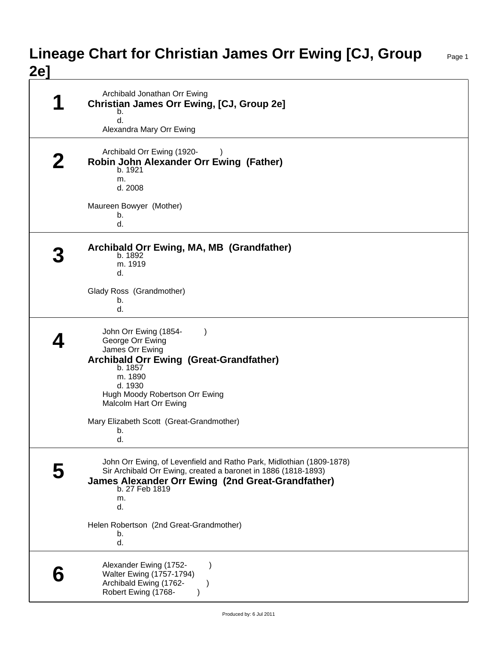## **Lineage Chart for Christian James Orr Ewing [CJ, Group 2e]**

Page 1

| Archibald Jonathan Orr Ewing<br>Christian James Orr Ewing, [CJ, Group 2e]<br>b.<br>d.<br>Alexandra Mary Orr Ewing                                                                                                         |
|---------------------------------------------------------------------------------------------------------------------------------------------------------------------------------------------------------------------------|
|                                                                                                                                                                                                                           |
| Archibald Orr Ewing (1920-<br>Robin John Alexander Orr Ewing (Father)<br>b. 1921<br>m.<br>d. 2008                                                                                                                         |
| Maureen Bowyer (Mother)<br>b.<br>d.                                                                                                                                                                                       |
| Archibald Orr Ewing, MA, MB (Grandfather)<br>b. 1892<br>m. 1919<br>d.                                                                                                                                                     |
| Glady Ross (Grandmother)<br>b.<br>d.                                                                                                                                                                                      |
| John Orr Ewing (1854-<br>$\lambda$<br>George Orr Ewing<br>James Orr Ewing<br><b>Archibald Orr Ewing (Great-Grandfather)</b><br>b. 1857<br>m. 1890<br>d. 1930<br>Hugh Moody Robertson Orr Ewing                            |
| Malcolm Hart Orr Ewing<br>Mary Elizabeth Scott (Great-Grandmother)<br>b.<br>d.                                                                                                                                            |
| John Orr Ewing, of Levenfield and Ratho Park, Midlothian (1809-1878)<br>Sir Archibald Orr Ewing, created a baronet in 1886 (1818-1893)<br>James Alexander Orr Ewing (2nd Great-Grandfather)<br>b. 27 Feb 1819<br>m.<br>d. |
| Helen Robertson (2nd Great-Grandmother)<br>b.<br>d.                                                                                                                                                                       |
| Alexander Ewing (1752-<br>$\lambda$<br>Walter Ewing (1757-1794)<br>Archibald Ewing (1762-<br>Robert Ewing (1768-                                                                                                          |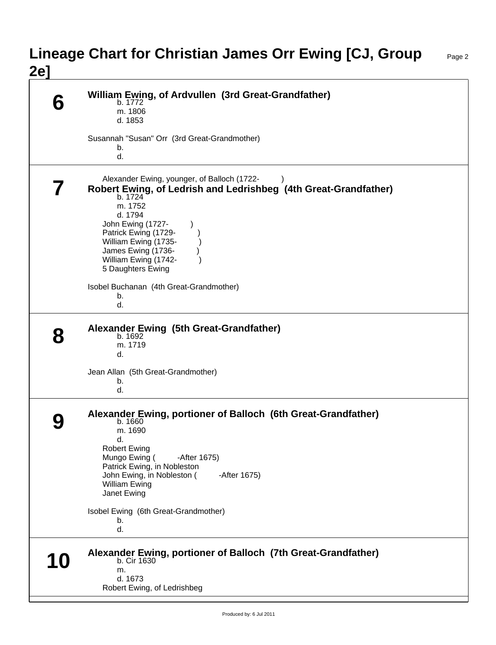## **Lineage Chart for Christian James Orr Ewing [CJ, Group 2e]**

Page 2

**6 William Ewing, of Ardvullen (3rd Great-Grandfather)** b. 1772 m. 1806 d. 1853 Susannah "Susan" Orr (3rd Great-Grandmother) b. d. **7** Alexander Ewing, younger, of Balloch (1722-**Robert Ewing, of Ledrish and Ledrishbeg (4th Great-Grandfather)** b. 1724 m. 1752 d. 1794 John Ewing (1727- ) Patrick Ewing (1729-William Ewing (1735-James Ewing (1736- ) William Ewing (1742-5 Daughters Ewing Isobel Buchanan (4th Great-Grandmother) b. d. **8 Alexander Ewing (5th Great-Grandfather)** b. 1692 m. 1719 d. Jean Allan (5th Great-Grandmother) b. d. **9 Alexander Ewing, portioner of Balloch (6th Great-Grandfather)** b. 1660 m. 1690 d. Robert Ewing Mungo Ewing (**Alter 1675**) Patrick Ewing, in Nobleston John Ewing, in Nobleston (
Hother 1675) William Ewing Janet Ewing Isobel Ewing (6th Great-Grandmother) b. d. **10 Alexander Ewing, portioner of Balloch (7th Great-Grandfather)** b. Cir 1630 m. d. 1673 Robert Ewing, of Ledrishbeg